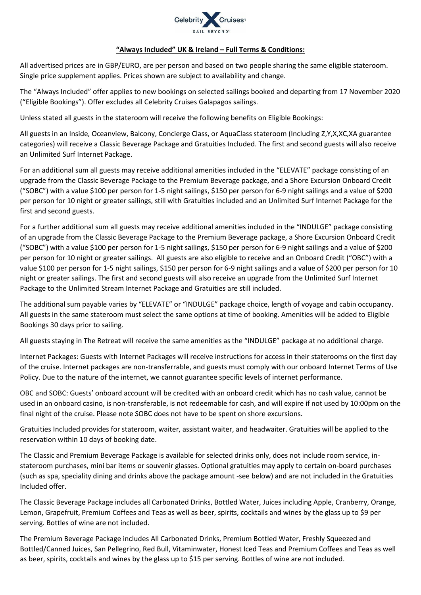

## **"Always Included" UK & Ireland – Full Terms & Conditions:**

All advertised prices are in GBP/EURO, are per person and based on two people sharing the same eligible stateroom. Single price supplement applies. Prices shown are subject to availability and change.

The "Always Included" offer applies to new bookings on selected sailings booked and departing from 17 November 2020 ("Eligible Bookings"). Offer excludes all Celebrity Cruises Galapagos sailings.

Unless stated all guests in the stateroom will receive the following benefits on Eligible Bookings:

All guests in an Inside, Oceanview, Balcony, Concierge Class, or AquaClass stateroom (Including Z,Y,X,XC,XA guarantee categories) will receive a Classic Beverage Package and Gratuities Included. The first and second guests will also receive an Unlimited Surf Internet Package.

For an additional sum all guests may receive additional amenities included in the "ELEVATE" package consisting of an upgrade from the Classic Beverage Package to the Premium Beverage package, and a Shore Excursion Onboard Credit ("SOBC") with a value \$100 per person for 1-5 night sailings, \$150 per person for 6-9 night sailings and a value of \$200 per person for 10 night or greater sailings, still with Gratuities included and an Unlimited Surf Internet Package for the first and second guests.

For a further additional sum all guests may receive additional amenities included in the "INDULGE" package consisting of an upgrade from the Classic Beverage Package to the Premium Beverage package, a Shore Excursion Onboard Credit ("SOBC") with a value \$100 per person for 1-5 night sailings, \$150 per person for 6-9 night sailings and a value of \$200 per person for 10 night or greater sailings. All guests are also eligible to receive and an Onboard Credit ("OBC") with a value \$100 per person for 1-5 night sailings, \$150 per person for 6-9 night sailings and a value of \$200 per person for 10 night or greater sailings. The first and second guests will also receive an upgrade from the Unlimited Surf Internet Package to the Unlimited Stream Internet Package and Gratuities are still included.

The additional sum payable varies by "ELEVATE" or "INDULGE" package choice, length of voyage and cabin occupancy. All guests in the same stateroom must select the same options at time of booking. Amenities will be added to Eligible Bookings 30 days prior to sailing.

All guests staying in The Retreat will receive the same amenities as the "INDULGE" package at no additional charge.

Internet Packages: Guests with Internet Packages will receive instructions for access in their staterooms on the first day of the cruise. Internet packages are non-transferrable, and guests must comply with our onboard Internet Terms of Use Policy. Due to the nature of the internet, we cannot guarantee specific levels of internet performance.

OBC and SOBC: Guests' onboard account will be credited with an onboard credit which has no cash value, cannot be used in an onboard casino, is non-transferable, is not redeemable for cash, and will expire if not used by 10:00pm on the final night of the cruise. Please note SOBC does not have to be spent on shore excursions.

Gratuities Included provides for stateroom, waiter, assistant waiter, and headwaiter. Gratuities will be applied to the reservation within 10 days of booking date.

The Classic and Premium Beverage Package is available for selected drinks only, does not include room service, instateroom purchases, mini bar items or souvenir glasses. Optional gratuities may apply to certain on-board purchases (such as spa, speciality dining and drinks above the package amount -see below) and are not included in the Gratuities Included offer.

The Classic Beverage Package includes all Carbonated Drinks, Bottled Water, Juices including Apple, Cranberry, Orange, Lemon, Grapefruit, Premium Coffees and Teas as well as beer, spirits, cocktails and wines by the glass up to \$9 per serving. Bottles of wine are not included.

The Premium Beverage Package includes All Carbonated Drinks, Premium Bottled Water, Freshly Squeezed and Bottled/Canned Juices, San Pellegrino, Red Bull, Vitaminwater, Honest Iced Teas and Premium Coffees and Teas as well as beer, spirits, cocktails and wines by the glass up to \$15 per serving. Bottles of wine are not included.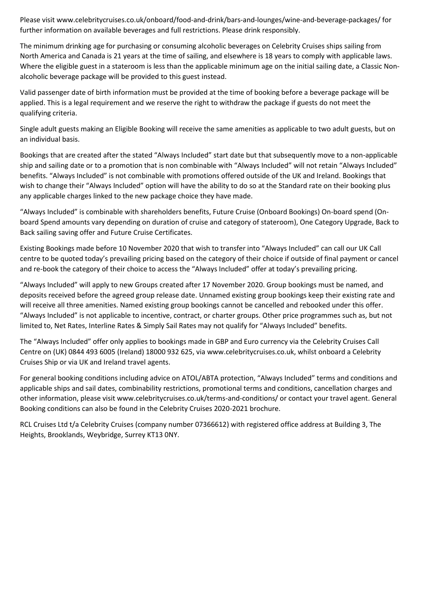Please visit www.celebritycruises.co.uk/onboard/food-and-drink/bars-and-lounges/wine-and-beverage-packages/ for further information on available beverages and full restrictions. Please drink responsibly.

The minimum drinking age for purchasing or consuming alcoholic beverages on Celebrity Cruises ships sailing from North America and Canada is 21 years at the time of sailing, and elsewhere is 18 years to comply with applicable laws. Where the eligible guest in a stateroom is less than the applicable minimum age on the initial sailing date, a Classic Nonalcoholic beverage package will be provided to this guest instead.

Valid passenger date of birth information must be provided at the time of booking before a beverage package will be applied. This is a legal requirement and we reserve the right to withdraw the package if guests do not meet the qualifying criteria.

Single adult guests making an Eligible Booking will receive the same amenities as applicable to two adult guests, but on an individual basis.

Bookings that are created after the stated "Always Included" start date but that subsequently move to a non-applicable ship and sailing date or to a promotion that is non combinable with "Always Included" will not retain "Always Included" benefits. "Always Included" is not combinable with promotions offered outside of the UK and Ireland. Bookings that wish to change their "Always Included" option will have the ability to do so at the Standard rate on their booking plus any applicable charges linked to the new package choice they have made.

"Always Included" is combinable with shareholders benefits, Future Cruise (Onboard Bookings) On-board spend (Onboard Spend amounts vary depending on duration of cruise and category of stateroom), One Category Upgrade, Back to Back sailing saving offer and Future Cruise Certificates.

Existing Bookings made before 10 November 2020 that wish to transfer into "Always Included" can call our UK Call centre to be quoted today's prevailing pricing based on the category of their choice if outside of final payment or cancel and re-book the category of their choice to access the "Always Included" offer at today's prevailing pricing.

"Always Included" will apply to new Groups created after 17 November 2020. Group bookings must be named, and deposits received before the agreed group release date. Unnamed existing group bookings keep their existing rate and will receive all three amenities. Named existing group bookings cannot be cancelled and rebooked under this offer. "Always Included" is not applicable to incentive, contract, or charter groups. Other price programmes such as, but not limited to, Net Rates, Interline Rates & Simply Sail Rates may not qualify for "Always Included" benefits.

The "Always Included" offer only applies to bookings made in GBP and Euro currency via the Celebrity Cruises Call Centre on (UK) 0844 493 6005 (Ireland) 18000 932 625, via www.celebritycruises.co.uk, whilst onboard a Celebrity Cruises Ship or via UK and Ireland travel agents.

For general booking conditions including advice on ATOL/ABTA protection, "Always Included" terms and conditions and applicable ships and sail dates, combinability restrictions, promotional terms and conditions, cancellation charges and other information, please visit www.celebritycruises.co.uk/terms-and-conditions/ or contact your travel agent. General Booking conditions can also be found in the Celebrity Cruises 2020-2021 brochure.

RCL Cruises Ltd t/a Celebrity Cruises (company number 07366612) with registered office address at Building 3, The Heights, Brooklands, Weybridge, Surrey KT13 0NY.